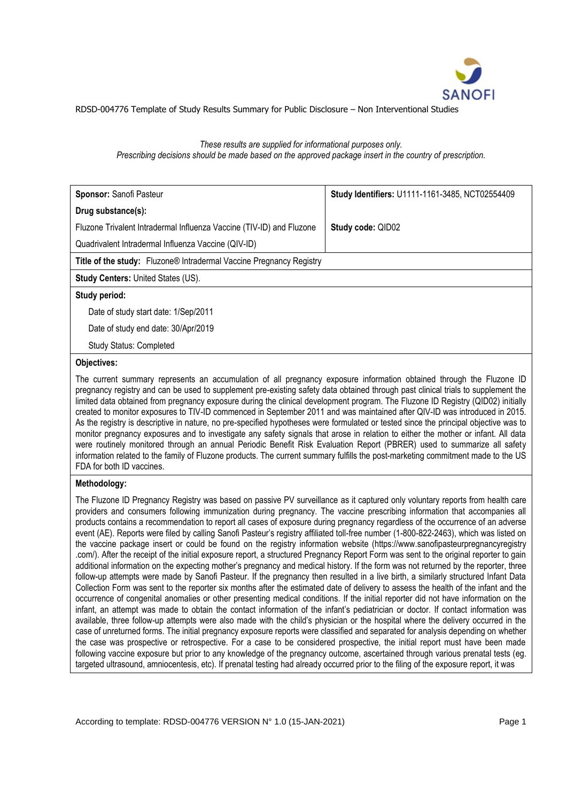

# *These results are supplied for informational purposes only. Prescribing decisions should be made based on the approved package insert in the country of prescription.*

| Sponsor: Sanofi Pasteur                                              | Study Identifiers: U1111-1161-3485, NCT02554409 |
|----------------------------------------------------------------------|-------------------------------------------------|
| Drug substance(s):                                                   |                                                 |
| Fluzone Trivalent Intradermal Influenza Vaccine (TIV-ID) and Fluzone | Study code: QID02                               |
| Quadrivalent Intradermal Influenza Vaccine (QIV-ID)                  |                                                 |
| Title of the study: Fluzone® Intradermal Vaccine Pregnancy Registry  |                                                 |
| <b>Study Centers: United States (US).</b>                            |                                                 |
| Study period:                                                        |                                                 |
| Date of study start date: 1/Sep/2011                                 |                                                 |
| Date of study end date: 30/Apr/2019                                  |                                                 |

Study Status: Completed

# **Objectives:**

The current summary represents an accumulation of all pregnancy exposure information obtained through the Fluzone ID pregnancy registry and can be used to supplement pre-existing safety data obtained through past clinical trials to supplement the limited data obtained from pregnancy exposure during the clinical development program. The Fluzone ID Registry (QID02) initially created to monitor exposures to TIV-ID commenced in September 2011 and was maintained after QIV-ID was introduced in 2015. As the registry is descriptive in nature, no pre-specified hypotheses were formulated or tested since the principal objective was to monitor pregnancy exposures and to investigate any safety signals that arose in relation to either the mother or infant. All data were routinely monitored through an annual Periodic Benefit Risk Evaluation Report (PBRER) used to summarize all safety information related to the family of Fluzone products. The current summary fulfills the post-marketing commitment made to the US FDA for both ID vaccines.

# **Methodology:**

The Fluzone ID Pregnancy Registry was based on passive PV surveillance as it captured only voluntary reports from health care providers and consumers following immunization during pregnancy. The vaccine prescribing information that accompanies all products contains a recommendation to report all cases of exposure during pregnancy regardless of the occurrence of an adverse event (AE). Reports were filed by calling Sanofi Pasteur's registry affiliated toll-free number (1-800-822-2463), which was listed on the vaccine package insert or could be found on the registry information website (https://www.sanofipasteurpregnancyregistry .com/). After the receipt of the initial exposure report, a structured Pregnancy Report Form was sent to the original reporter to gain additional information on the expecting mother's pregnancy and medical history. If the form was not returned by the reporter, three follow-up attempts were made by Sanofi Pasteur. If the pregnancy then resulted in a live birth, a similarly structured Infant Data Collection Form was sent to the reporter six months after the estimated date of delivery to assess the health of the infant and the occurrence of congenital anomalies or other presenting medical conditions. If the initial reporter did not have information on the infant, an attempt was made to obtain the contact information of the infant's pediatrician or doctor. If contact information was available, three follow-up attempts were also made with the child's physician or the hospital where the delivery occurred in the case of unreturned forms. The initial pregnancy exposure reports were classified and separated for analysis depending on whether the case was prospective or retrospective. For a case to be considered prospective, the initial report must have been made following vaccine exposure but prior to any knowledge of the pregnancy outcome, ascertained through various prenatal tests (eg. targeted ultrasound, amniocentesis, etc). If prenatal testing had already occurred prior to the filing of the exposure report, it was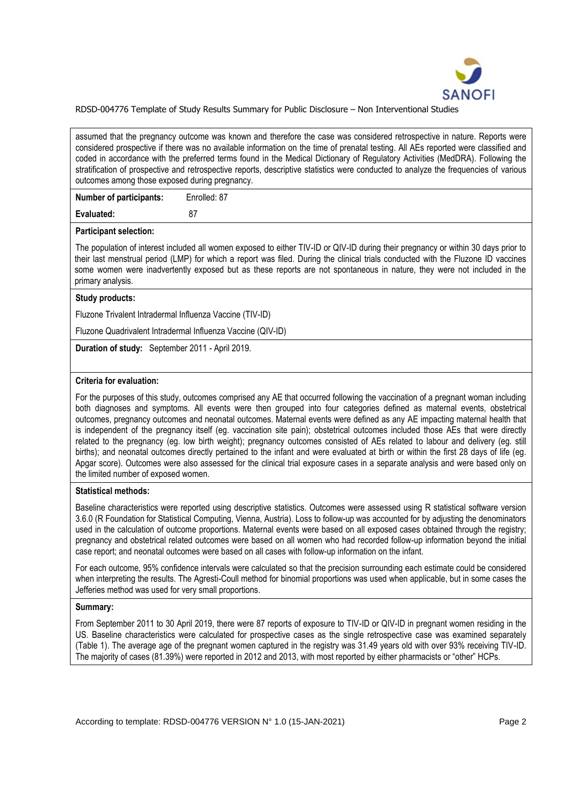

assumed that the pregnancy outcome was known and therefore the case was considered retrospective in nature. Reports were considered prospective if there was no available information on the time of prenatal testing. All AEs reported were classified and coded in accordance with the preferred terms found in the Medical Dictionary of Regulatory Activities (MedDRA). Following the stratification of prospective and retrospective reports, descriptive statistics were conducted to analyze the frequencies of various outcomes among those exposed during pregnancy.

| <b>Number of participants:</b> | Enrolled: 87 |
|--------------------------------|--------------|
| Evaluated:                     | -87          |

#### **Participant selection:**

The population of interest included all women exposed to either TIV-ID or QIV-ID during their pregnancy or within 30 days prior to their last menstrual period (LMP) for which a report was filed. During the clinical trials conducted with the Fluzone ID vaccines some women were inadvertently exposed but as these reports are not spontaneous in nature, they were not included in the primary analysis.

## **Study products:**

Fluzone Trivalent Intradermal Influenza Vaccine (TIV-ID)

Fluzone Quadrivalent Intradermal Influenza Vaccine (QIV-ID)

**Duration of study:** September 2011 - April 2019.

#### **Criteria for evaluation:**

For the purposes of this study, outcomes comprised any AE that occurred following the vaccination of a pregnant woman including both diagnoses and symptoms. All events were then grouped into four categories defined as maternal events, obstetrical outcomes, pregnancy outcomes and neonatal outcomes. Maternal events were defined as any AE impacting maternal health that is independent of the pregnancy itself (eg. vaccination site pain); obstetrical outcomes included those AEs that were directly related to the pregnancy (eg. low birth weight); pregnancy outcomes consisted of AEs related to labour and delivery (eg. still births); and neonatal outcomes directly pertained to the infant and were evaluated at birth or within the first 28 days of life (eg. Apgar score). Outcomes were also assessed for the clinical trial exposure cases in a separate analysis and were based only on the limited number of exposed women.

### **Statistical methods:**

Baseline characteristics were reported using descriptive statistics. Outcomes were assessed using R statistical software version 3.6.0 (R Foundation for Statistical Computing, Vienna, Austria). Loss to follow-up was accounted for by adjusting the denominators used in the calculation of outcome proportions. Maternal events were based on all exposed cases obtained through the registry; pregnancy and obstetrical related outcomes were based on all women who had recorded follow-up information beyond the initial case report; and neonatal outcomes were based on all cases with follow-up information on the infant.

For each outcome, 95% confidence intervals were calculated so that the precision surrounding each estimate could be considered when interpreting the results. The Agresti-Coull method for binomial proportions was used when applicable, but in some cases the Jefferies method was used for very small proportions.

### **Summary:**

From September 2011 to 30 April 2019, there were 87 reports of exposure to TIV-ID or QIV-ID in pregnant women residing in the US. Baseline characteristics were calculated for prospective cases as the single retrospective case was examined separately (Table 1). The average age of the pregnant women captured in the registry was 31.49 years old with over 93% receiving TIV-ID. The majority of cases (81.39%) were reported in 2012 and 2013, with most reported by either pharmacists or "other" HCPs.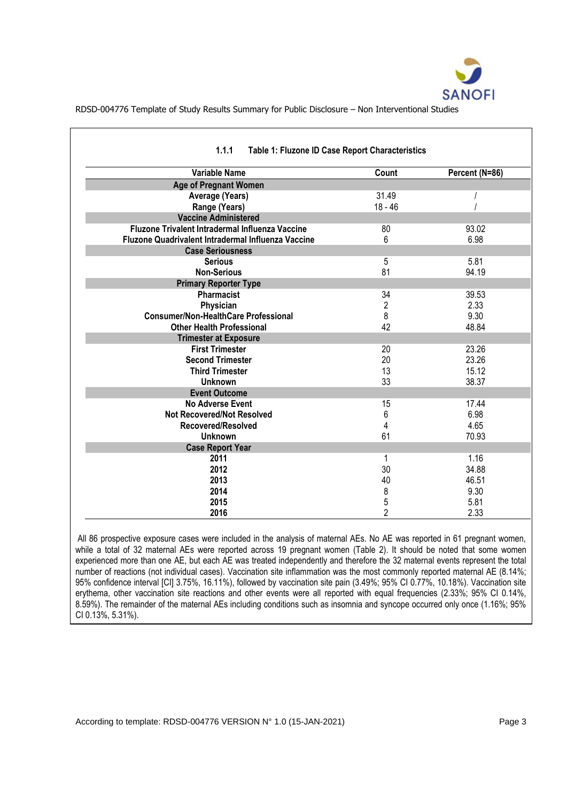

| <b>Variable Name</b>                               | Count          | Percent (N=86) |
|----------------------------------------------------|----------------|----------------|
| <b>Age of Pregnant Women</b>                       |                |                |
| Average (Years)                                    | 31.49          |                |
| Range (Years)                                      | 18 - 46        |                |
| <b>Vaccine Administered</b>                        |                |                |
| Fluzone Trivalent Intradermal Influenza Vaccine    | 80             | 93.02          |
| Fluzone Quadrivalent Intradermal Influenza Vaccine | 6              | 6.98           |
| <b>Case Seriousness</b>                            |                |                |
| <b>Serious</b>                                     | 5              | 5.81           |
| <b>Non-Serious</b>                                 | 81             | 94.19          |
| <b>Primary Reporter Type</b>                       |                |                |
| Pharmacist                                         | 34             | 39.53          |
| Physician                                          | $\overline{2}$ | 2.33           |
| <b>Consumer/Non-HealthCare Professional</b>        | 8              | 9.30           |
| <b>Other Health Professional</b>                   | 42             | 48.84          |
| <b>Trimester at Exposure</b>                       |                |                |
| <b>First Trimester</b>                             | 20             | 23.26          |
| <b>Second Trimester</b>                            | 20             | 23.26          |
| <b>Third Trimester</b>                             | 13             | 15.12          |
| <b>Unknown</b>                                     | 33             | 38.37          |
| <b>Event Outcome</b>                               |                |                |
| <b>No Adverse Event</b>                            | 15             | 17.44          |
| <b>Not Recovered/Not Resolved</b>                  | 6              | 6.98           |
| Recovered/Resolved                                 | 4              | 4.65           |
| <b>Unknown</b>                                     | 61             | 70.93          |
| <b>Case Report Year</b>                            |                |                |
| 2011                                               | 1              | 1.16           |
| 2012                                               | 30             | 34.88          |
| 2013                                               | 40             | 46.51          |
| 2014                                               | 8              | 9.30           |
| 2015                                               | 5              | 5.81           |
| 2016                                               | $\overline{2}$ | 2.33           |

All 86 prospective exposure cases were included in the analysis of maternal AEs. No AE was reported in 61 pregnant women, while a total of 32 maternal AEs were reported across 19 pregnant women (Table 2). It should be noted that some women experienced more than one AE, but each AE was treated independently and therefore the 32 maternal events represent the total number of reactions (not individual cases). Vaccination site inflammation was the most commonly reported maternal AE (8.14%; 95% confidence interval [CI] 3.75%, 16.11%), followed by vaccination site pain (3.49%; 95% CI 0.77%, 10.18%). Vaccination site erythema, other vaccination site reactions and other events were all reported with equal frequencies (2.33%; 95% CI 0.14%, 8.59%). The remainder of the maternal AEs including conditions such as insomnia and syncope occurred only once (1.16%; 95% CI 0.13%, 5.31%).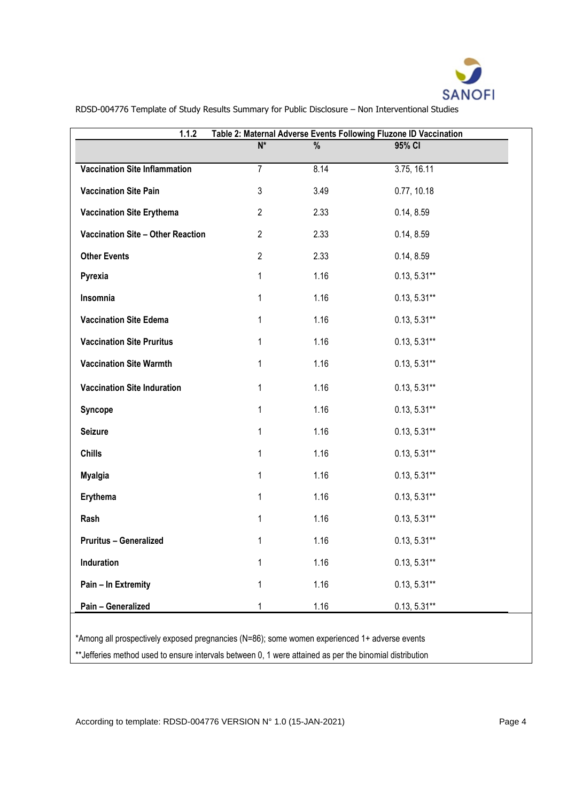

| Table 2: Maternal Adverse Events Following Fluzone ID Vaccination<br>1.1.2                    |                           |               |                |
|-----------------------------------------------------------------------------------------------|---------------------------|---------------|----------------|
|                                                                                               | $\overline{\mathsf{N}^*}$ | $\frac{0}{6}$ | 95% CI         |
| <b>Vaccination Site Inflammation</b>                                                          | $\overline{7}$            | 8.14          | 3.75, 16.11    |
| <b>Vaccination Site Pain</b>                                                                  | 3                         | 3.49          | 0.77, 10.18    |
| <b>Vaccination Site Erythema</b>                                                              | $\overline{2}$            | 2.33          | 0.14, 8.59     |
| Vaccination Site - Other Reaction                                                             | $\overline{2}$            | 2.33          | 0.14, 8.59     |
| <b>Other Events</b>                                                                           | $\overline{2}$            | 2.33          | 0.14, 8.59     |
| Pyrexia                                                                                       | 1                         | 1.16          | $0.13, 5.31**$ |
| Insomnia                                                                                      | 1                         | 1.16          | $0.13, 5.31**$ |
| <b>Vaccination Site Edema</b>                                                                 | 1                         | 1.16          | $0.13, 5.31**$ |
| <b>Vaccination Site Pruritus</b>                                                              | 1                         | 1.16          | $0.13, 5.31**$ |
| <b>Vaccination Site Warmth</b>                                                                | 1                         | 1.16          | $0.13, 5.31**$ |
| <b>Vaccination Site Induration</b>                                                            | 1                         | 1.16          | $0.13, 5.31**$ |
| Syncope                                                                                       | 1                         | 1.16          | $0.13, 5.31**$ |
| <b>Seizure</b>                                                                                | 1                         | 1.16          | $0.13, 5.31**$ |
| <b>Chills</b>                                                                                 | 1                         | 1.16          | $0.13, 5.31**$ |
| <b>Myalgia</b>                                                                                | 1                         | 1.16          | $0.13, 5.31**$ |
| Erythema                                                                                      | 1                         | 1.16          | $0.13, 5.31**$ |
| Rash                                                                                          | 1                         | 1.16          | $0.13, 5.31**$ |
| <b>Pruritus - Generalized</b>                                                                 | 1                         | 1.16          | $0.13, 5.31**$ |
| Induration                                                                                    | 1                         | 1.16          | $0.13, 5.31**$ |
| Pain - In Extremity                                                                           | 1                         | 1.16          | $0.13, 5.31**$ |
| Pain - Generalized                                                                            | 1                         | 1.16          | $0.13, 5.31**$ |
| *Among all prospectively exposed pregnancies (N=86); some women experienced 1+ adverse events |                           |               |                |

\*\*Jefferies method used to ensure intervals between 0, 1 were attained as per the binomial distribution

According to template: RDSD-004776 VERSION N° 1.0 (15-JAN-2021) Page 4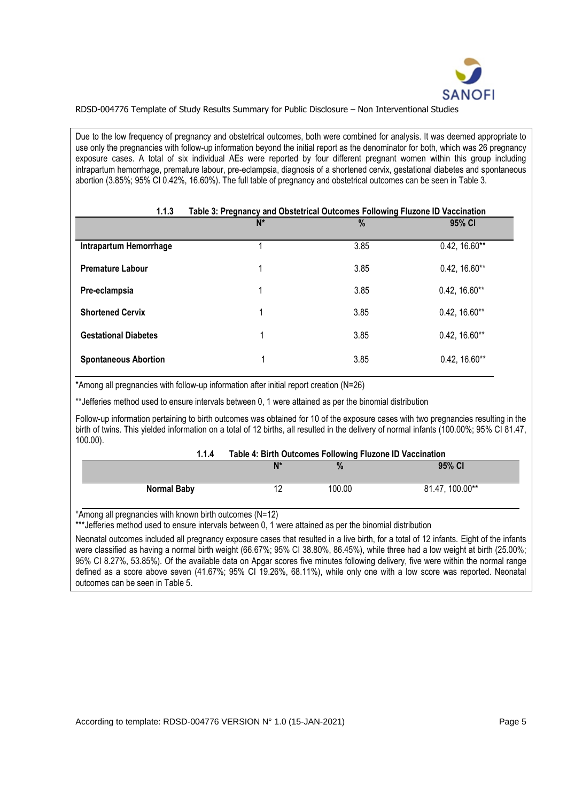

Due to the low frequency of pregnancy and obstetrical outcomes, both were combined for analysis. It was deemed appropriate to use only the pregnancies with follow-up information beyond the initial report as the denominator for both, which was 26 pregnancy exposure cases. A total of six individual AEs were reported by four different pregnant women within this group including intrapartum hemorrhage, premature labour, pre-eclampsia, diagnosis of a shortened cervix, gestational diabetes and spontaneous abortion (3.85%; 95% CI 0.42%, 16.60%). The full table of pregnancy and obstetrical outcomes can be seen in Table 3.

| 1.1.3                       | Table 3: Pregnancy and Obstetrical Outcomes Following Fluzone ID Vaccination |      |                 |
|-----------------------------|------------------------------------------------------------------------------|------|-----------------|
|                             | $N^*$                                                                        | $\%$ | 95% CI          |
| Intrapartum Hemorrhage      |                                                                              | 3.85 | $0.42, 16.60**$ |
| <b>Premature Labour</b>     | ◢                                                                            | 3.85 | $0.42, 16.60**$ |
| Pre-eclampsia               | 1                                                                            | 3.85 | $0.42, 16.60**$ |
| <b>Shortened Cervix</b>     | 1                                                                            | 3.85 | $0.42, 16.60**$ |
| <b>Gestational Diabetes</b> | 1                                                                            | 3.85 | $0.42, 16.60**$ |
| <b>Spontaneous Abortion</b> | 1                                                                            | 3.85 | $0.42, 16.60**$ |

\*Among all pregnancies with follow-up information after initial report creation (N=26)

\*\*Jefferies method used to ensure intervals between 0, 1 were attained as per the binomial distribution

Follow-up information pertaining to birth outcomes was obtained for 10 of the exposure cases with two pregnancies resulting in the birth of twins. This yielded information on a total of 12 births, all resulted in the delivery of normal infants (100.00%; 95% CI 81.47, 100.00).

| 1.1.4              | Table 4: Birth Outcomes Following Fluzone ID Vaccination |        |                 |
|--------------------|----------------------------------------------------------|--------|-----------------|
|                    | N*                                                       | $\%$   | 95% CI          |
| <b>Normal Baby</b> |                                                          | 100.00 | 81.47, 100.00** |

\*Among all pregnancies with known birth outcomes (N=12)

\*\*\*Jefferies method used to ensure intervals between 0, 1 were attained as per the binomial distribution

Neonatal outcomes included all pregnancy exposure cases that resulted in a live birth, for a total of 12 infants. Eight of the infants were classified as having a normal birth weight (66.67%; 95% CI 38.80%, 86.45%), while three had a low weight at birth (25.00%; 95% CI 8.27%, 53.85%). Of the available data on Apgar scores five minutes following delivery, five were within the normal range defined as a score above seven (41.67%; 95% CI 19.26%, 68.11%), while only one with a low score was reported. Neonatal outcomes can be seen in Table 5.